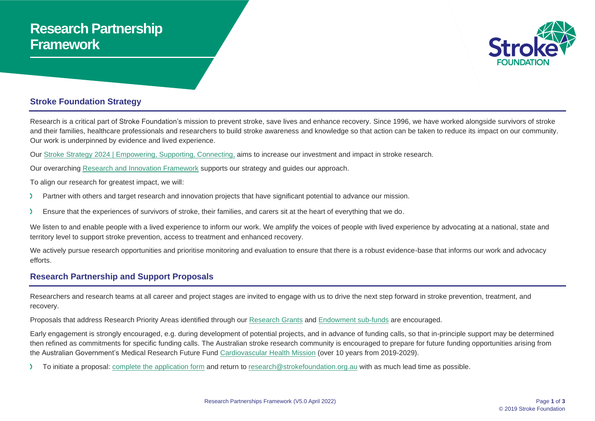# **Research Partnership Framework**



#### **Stroke Foundation Strategy**

Research is a critical part of Stroke Foundation's mission to prevent stroke, save lives and enhance recovery. Since 1996, we have worked alongside survivors of stroke and their families, healthcare professionals and researchers to build stroke awareness and knowledge so that action can be taken to reduce its impact on our community. Our work is underpinned by evidence and lived experience.

Our Stroke [Strategy 2024 | Empowering, Supporting, Connecting,](https://strokefoundation.org.au/About-us/Strategies) aims to increase our investment and impact in stroke research.

Our overarching [Research and Innovation Framework](https://strokefoundation.org.au/what-we-do/research) supports our strategy and guides our approach.

To align our research for greatest impact, we will:

- Partner with others and target research and innovation projects that have significant potential to advance our mission.
- Ensure that the experiences of survivors of stroke, their families, and carers sit at the heart of everything that we do. ->

We listen to and enable people with a lived experience to inform our work. We amplify the voices of people with lived experience by advocating at a national, state and territory level to support stroke prevention, access to treatment and enhanced recovery.

We actively pursue research opportunities and prioritise monitoring and evaluation to ensure that there is a robust evidence-base that informs our work and advocacy efforts.

### **Research Partnership and Support Proposals**

Researchers and research teams at all career and project stages are invited to engage with us to drive the next step forward in stroke prevention, treatment, and recovery.

Proposals that address Research Priority Areas identified through our [Research Grants](https://strokefoundation.org.au/what-we-do/research/research-grants) and [Endowment sub-funds](https://strokefoundation.org.au/How-you-can-help/Ways-to-donate/Endowment-funds) are encouraged.

Early engagement is strongly encouraged, e.g. during development of potential projects, and in advance of funding calls, so that in-principle support may be determined then refined as commitments for specific funding calls. The Australian stroke research community is encouraged to prepare for future funding opportunities arising from the Australian Government's Medical Research Future Fund [Cardiovascular Health Mission](https://www.health.gov.au/initiatives-and-programs/cardiovascular-health-mission) (over 10 years from 2019-2029).

To initiate a proposal: complete [the application form](https://strokefoundation.org.au/What-we-do/Research/research-partnerships) and return to [research@strokefoundation.org.au](mailto:research@strokefoundation.org.au) with as much lead time as possible.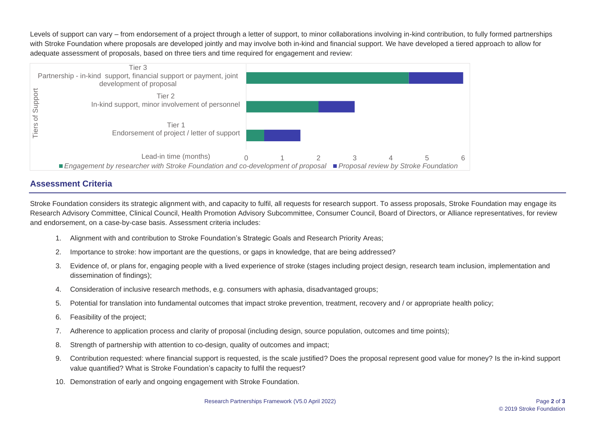Levels of support can vary – from endorsement of a project through a letter of support, to minor collaborations involving in-kind contribution, to fully formed partnerships with Stroke Foundation where proposals are developed jointly and may involve both in-kind and financial support. We have developed a tiered approach to allow for adequate assessment of proposals, based on three tiers and time required for engagement and review:



## **Assessment Criteria**

Stroke Foundation considers its strategic alignment with, and capacity to fulfil, all requests for research support. To assess proposals, Stroke Foundation may engage its Research Advisory Committee, Clinical Council, Health Promotion Advisory Subcommittee, Consumer Council, Board of Directors, or Alliance representatives, for review and endorsement, on a case-by-case basis. Assessment criteria includes:

- 1. Alignment with and contribution to Stroke Foundation's Strategic Goals and Research Priority Areas;
- 2. Importance to stroke: how important are the questions, or gaps in knowledge, that are being addressed?
- 3. Evidence of, or plans for, engaging people with a lived experience of stroke (stages including project design, research team inclusion, implementation and dissemination of findings);
- 4. Consideration of inclusive research methods, e.g. consumers with aphasia, disadvantaged groups;
- 5. Potential for translation into fundamental outcomes that impact stroke prevention, treatment, recovery and / or appropriate health policy;
- 6. Feasibility of the project;
- 7. Adherence to application process and clarity of proposal (including design, source population, outcomes and time points);
- 8. Strength of partnership with attention to co-design, quality of outcomes and impact;
- 9. Contribution requested: where financial support is requested, is the scale justified? Does the proposal represent good value for money? Is the in-kind support value quantified? What is Stroke Foundation's capacity to fulfil the request?
- 10. Demonstration of early and ongoing engagement with Stroke Foundation.